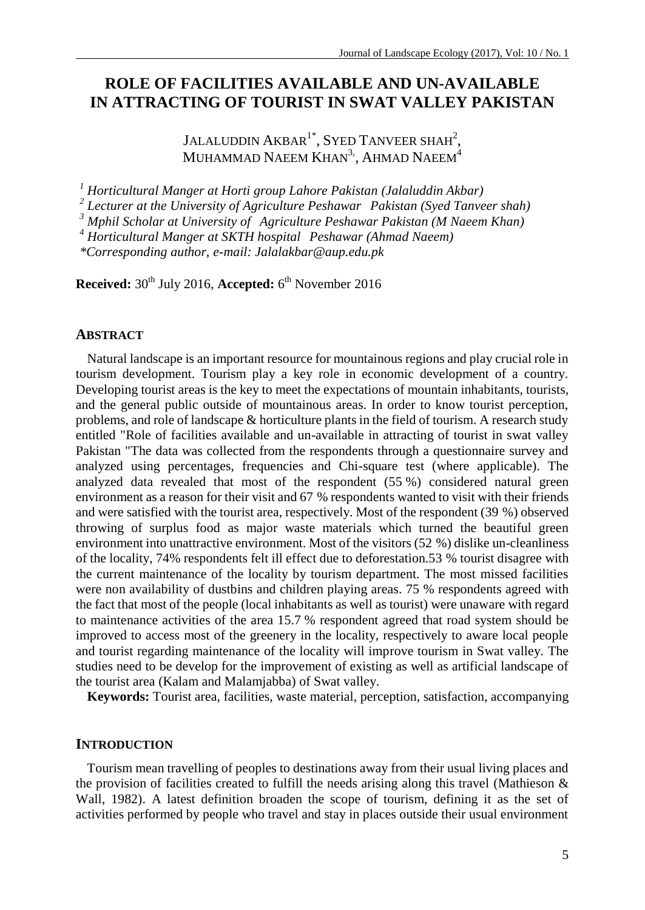# **ROLE OF FACILITIES AVAILABLE AND UN-AVAILABLE IN ATTRACTING OF TOURIST IN SWAT VALLEY PAKISTAN**

JALALUDDIN  $\mathsf{AKBAR}^{1*}, \mathsf{SYED}$  Tanveer  $\mathsf{SHAH}^{2},$ MUHAMMAD NAEEM  $\text{KHAN}^{3,}$ , AHMAD NAEEM $^{4}$ 

*<sup>1</sup> Horticultural Manger at Horti group Lahore Pakistan (Jalaluddin Akbar)*

*2 Lecturer at the University of Agriculture Peshawar Pakistan (Syed Tanveer shah)*

*<sup>3</sup> Mphil Scholar at University of Agriculture Peshawar Pakistan (M Naeem Khan)*

*<sup>4</sup> Horticultural Manger at SKTH hospital Peshawar (Ahmad Naeem)*

*\*Corresponding author, e-mail: Jalalakbar@aup.edu.pk*

**Received:** 30th July 2016, **Accepted:** 6 th November 2016

### **ABSTRACT**

Natural landscape is an important resource for mountainous regions and play crucial role in tourism development. Tourism play a key role in economic development of a country. Developing tourist areas is the key to meet the expectations of mountain inhabitants, tourists, and the general public outside of mountainous areas. In order to know tourist perception, problems, and role of landscape & horticulture plants in the field of tourism. A research study entitled "Role of facilities available and un-available in attracting of tourist in swat valley Pakistan "The data was collected from the respondents through a questionnaire survey and analyzed using percentages, frequencies and Chi-square test (where applicable). The analyzed data revealed that most of the respondent (55 %) considered natural green environment as a reason for their visit and 67 % respondents wanted to visit with their friends and were satisfied with the tourist area, respectively. Most of the respondent (39 %) observed throwing of surplus food as major waste materials which turned the beautiful green environment into unattractive environment. Most of the visitors (52 %) dislike un-cleanliness of the locality, 74% respondents felt ill effect due to deforestation.53 % tourist disagree with the current maintenance of the locality by tourism department. The most missed facilities were non availability of dustbins and children playing areas. 75 % respondents agreed with the fact that most of the people (local inhabitants as well as tourist) were unaware with regard to maintenance activities of the area 15.7 % respondent agreed that road system should be improved to access most of the greenery in the locality, respectively to aware local people and tourist regarding maintenance of the locality will improve tourism in Swat valley. The studies need to be develop for the improvement of existing as well as artificial landscape of the tourist area (Kalam and Malamjabba) of Swat valley.

**Keywords:** Tourist area, facilities, waste material, perception, satisfaction, accompanying

## **INTRODUCTION**

Tourism mean travelling of peoples to destinations away from their usual living places and the provision of facilities created to fulfill the needs arising along this travel (Mathieson  $\&$ Wall, 1982). A latest definition broaden the scope of tourism, defining it as the set of activities performed by people who travel and stay in places outside their usual environment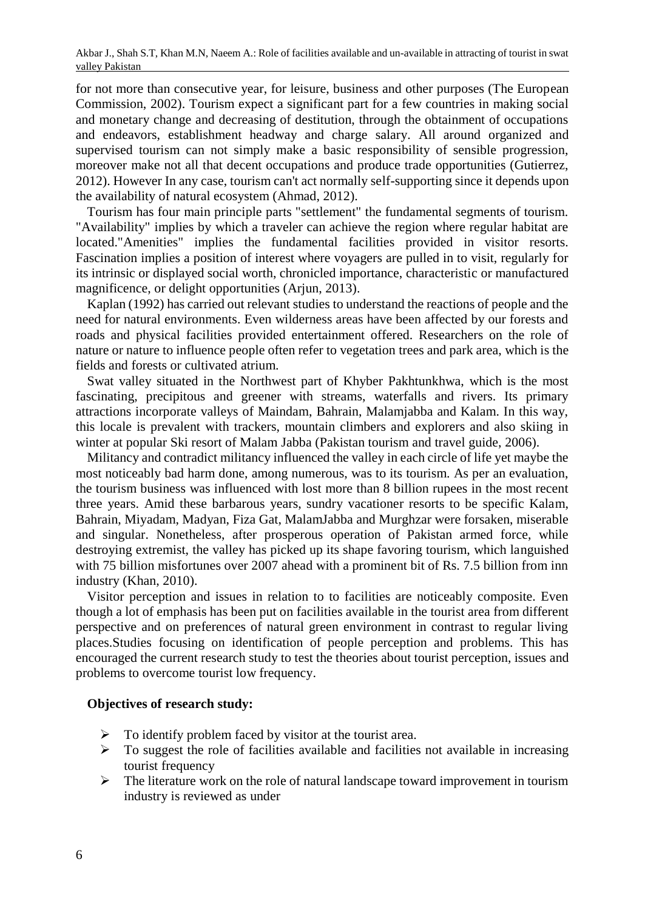Akbar J., Shah S.T, Khan M.N, Naeem A.: Role of facilities available and un-available in attracting of tourist in swat valley Pakistan

for not more than consecutive year, for leisure, business and other purposes (The European Commission, 2002). Tourism expect a significant part for a few countries in making social and monetary change and decreasing of destitution, through the obtainment of occupations and endeavors, establishment headway and charge salary. All around organized and supervised tourism can not simply make a basic responsibility of sensible progression, moreover make not all that decent occupations and produce trade opportunities (Gutierrez, 2012). However In any case, tourism can't act normally self-supporting since it depends upon the availability of natural ecosystem (Ahmad, 2012).

Tourism has four main principle parts "settlement" the fundamental segments of tourism. "Availability" implies by which a traveler can achieve the region where regular habitat are located."Amenities" implies the fundamental facilities provided in visitor resorts. Fascination implies a position of interest where voyagers are pulled in to visit, regularly for its intrinsic or displayed social worth, chronicled importance, characteristic or manufactured magnificence, or delight opportunities (Arjun, 2013).

Kaplan (1992) has carried out relevant studies to understand the reactions of people and the need for natural environments. Even wilderness areas have been affected by our forests and roads and physical facilities provided entertainment offered. Researchers on the role of nature or nature to influence people often refer to vegetation trees and park area, which is the fields and forests or cultivated atrium.

Swat valley situated in the Northwest part of Khyber Pakhtunkhwa, which is the most fascinating, precipitous and greener with streams, waterfalls and rivers. Its primary attractions incorporate valleys of Maindam, Bahrain, Malamjabba and Kalam. In this way, this locale is prevalent with trackers, mountain climbers and explorers and also skiing in winter at popular Ski resort of Malam Jabba (Pakistan tourism and travel guide, 2006).

Militancy and contradict militancy influenced the valley in each circle of life yet maybe the most noticeably bad harm done, among numerous, was to its tourism. As per an evaluation, the tourism business was influenced with lost more than 8 billion rupees in the most recent three years. Amid these barbarous years, sundry vacationer resorts to be specific Kalam, Bahrain, Miyadam, Madyan, Fiza Gat, MalamJabba and Murghzar were forsaken, miserable and singular. Nonetheless, after prosperous operation of Pakistan armed force, while destroying extremist, the valley has picked up its shape favoring tourism, which languished with 75 billion misfortunes over 2007 ahead with a prominent bit of Rs. 7.5 billion from inn industry (Khan, 2010).

Visitor perception and issues in relation to to facilities are noticeably composite. Even though a lot of emphasis has been put on facilities available in the tourist area from different perspective and on preferences of natural green environment in contrast to regular living places.Studies focusing on identification of people perception and problems. This has encouraged the current research study to test the theories about tourist perception, issues and problems to overcome tourist low frequency.

### **Objectives of research study:**

- $\triangleright$  To identify problem faced by visitor at the tourist area.
- $\triangleright$  To suggest the role of facilities available and facilities not available in increasing tourist frequency
- $\triangleright$  The literature work on the role of natural landscape toward improvement in tourism industry is reviewed as under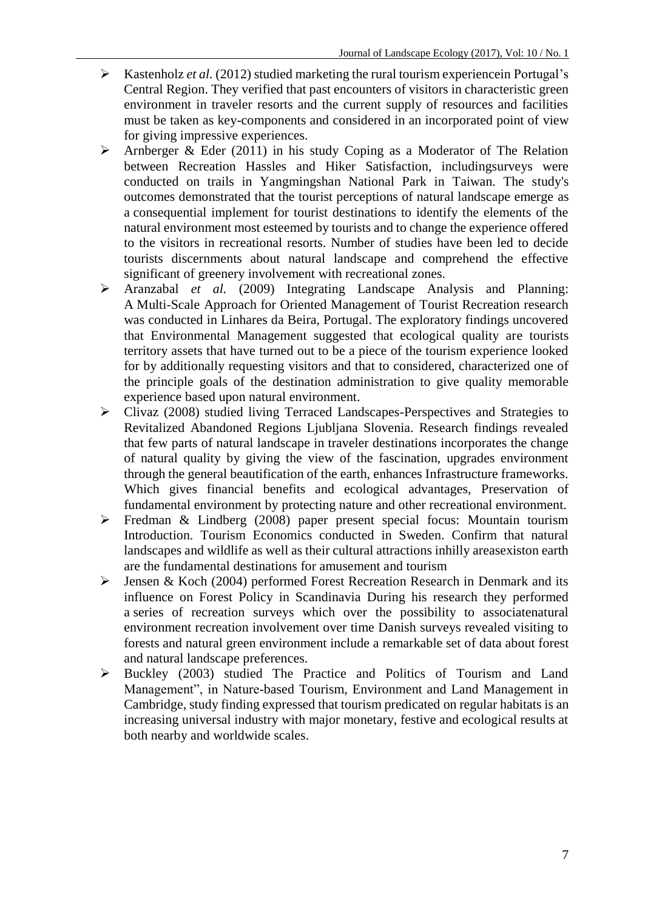- $\triangleright$  Kastenholz *et al.* (2012) studied marketing the rural tourism experience in Portugal's Central Region. They verified that past encounters of visitors in characteristic green environment in traveler resorts and the current supply of resources and facilities must be taken as key-components and considered in an incorporated point of view for giving impressive experiences.
- $\triangleright$  Arnberger & Eder (2011) in his study Coping as a Moderator of The Relation between Recreation Hassles and Hiker Satisfaction, includingsurveys were conducted on trails in Yangmingshan National Park in Taiwan. The study's outcomes demonstrated that the tourist perceptions of natural landscape emerge as a consequential implement for tourist destinations to identify the elements of the natural environment most esteemed by tourists and to change the experience offered to the visitors in recreational resorts. Number of studies have been led to decide tourists discernments about natural landscape and comprehend the effective significant of greenery involvement with recreational zones.
- Aranzabal *et al.* (2009) Integrating Landscape Analysis and Planning: A Multi-Scale Approach for Oriented Management of Tourist Recreation research was conducted in Linhares da Beira, Portugal. The exploratory findings uncovered that Environmental Management suggested that ecological quality are tourists territory assets that have turned out to be a piece of the tourism experience looked for by additionally requesting visitors and that to considered, characterized one of the principle goals of the destination administration to give quality memorable experience based upon natural environment.
- Clivaz (2008) studied living Terraced Landscapes-Perspectives and Strategies to Revitalized Abandoned Regions Ljubljana Slovenia. Research findings revealed that few parts of natural landscape in traveler destinations incorporates the change of natural quality by giving the view of the fascination, upgrades environment through the general beautification of the earth, enhances Infrastructure frameworks. Which gives financial benefits and ecological advantages, Preservation of fundamental environment by protecting nature and other recreational environment.
- $\triangleright$  Fredman & Lindberg (2008) paper present special focus: Mountain tourism Introduction. Tourism Economics conducted in Sweden. Confirm that natural landscapes and wildlife as well as their cultural attractions inhilly areasexiston earth are the fundamental destinations for amusement and tourism
- $\triangleright$  Jensen & Koch (2004) performed Forest Recreation Research in Denmark and its influence on Forest Policy in Scandinavia During his research they performed a series of recreation surveys which over the possibility to associatenatural environment recreation involvement over time Danish surveys revealed visiting to forests and natural green environment include a remarkable set of data about forest and natural landscape preferences.
- Buckley (2003) studied The Practice and Politics of Tourism and Land Management", in Nature-based Tourism, Environment and Land Management in Cambridge, study finding expressed that tourism predicated on regular habitats is an increasing universal industry with major monetary, festive and ecological results at both nearby and worldwide scales.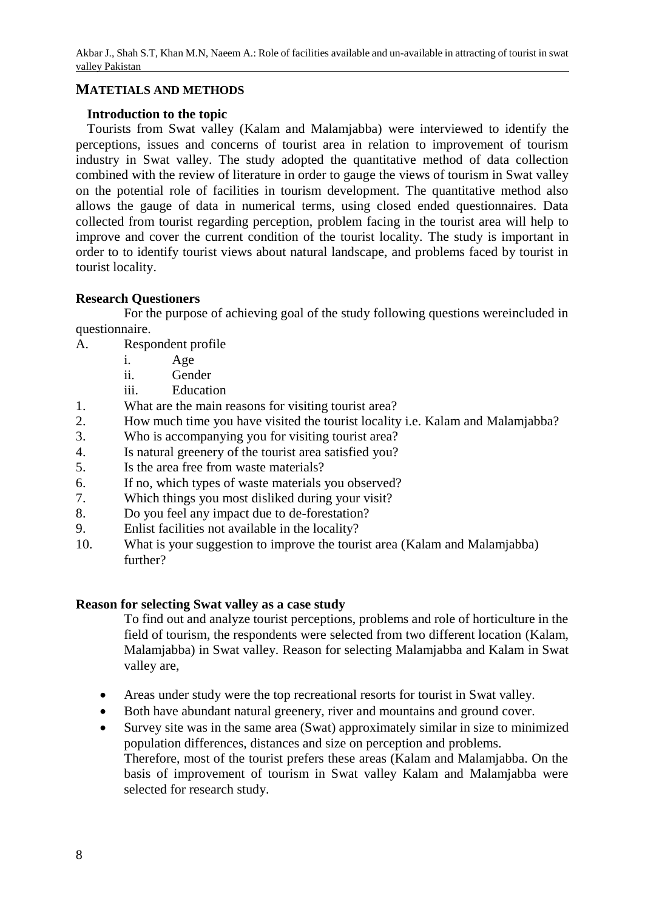## **MATETIALS AND METHODS**

## **Introduction to the topic**

Tourists from Swat valley (Kalam and Malamjabba) were interviewed to identify the perceptions, issues and concerns of tourist area in relation to improvement of tourism industry in Swat valley. The study adopted the quantitative method of data collection combined with the review of literature in order to gauge the views of tourism in Swat valley on the potential role of facilities in tourism development. The quantitative method also allows the gauge of data in numerical terms, using closed ended questionnaires. Data collected from tourist regarding perception, problem facing in the tourist area will help to improve and cover the current condition of the tourist locality. The study is important in order to to identify tourist views about natural landscape, and problems faced by tourist in tourist locality.

## **Research Questioners**

For the purpose of achieving goal of the study following questions wereincluded in questionnaire.

- A. Respondent profile
	- i. Age
	- ii. Gender
	- iii. Education
- 1. What are the main reasons for visiting tourist area?
- 2. How much time you have visited the tourist locality i.e. Kalam and Malamjabba?
- 3. Who is accompanying you for visiting tourist area?
- 4. Is natural greenery of the tourist area satisfied you?
- 5. Is the area free from waste materials?
- 6. If no, which types of waste materials you observed?
- 7. Which things you most disliked during your visit?
- 8. Do you feel any impact due to de-forestation?
- 9. Enlist facilities not available in the locality?
- 10. What is your suggestion to improve the tourist area (Kalam and Malamjabba) further?

## **Reason for selecting Swat valley as a case study**

To find out and analyze tourist perceptions, problems and role of horticulture in the field of tourism, the respondents were selected from two different location (Kalam, Malamjabba) in Swat valley. Reason for selecting Malamjabba and Kalam in Swat valley are,

- Areas under study were the top recreational resorts for tourist in Swat valley.
- Both have abundant natural greenery, river and mountains and ground cover.
- Survey site was in the same area (Swat) approximately similar in size to minimized population differences, distances and size on perception and problems. Therefore, most of the tourist prefers these areas (Kalam and Malamjabba. On the basis of improvement of tourism in Swat valley Kalam and Malamjabba were selected for research study.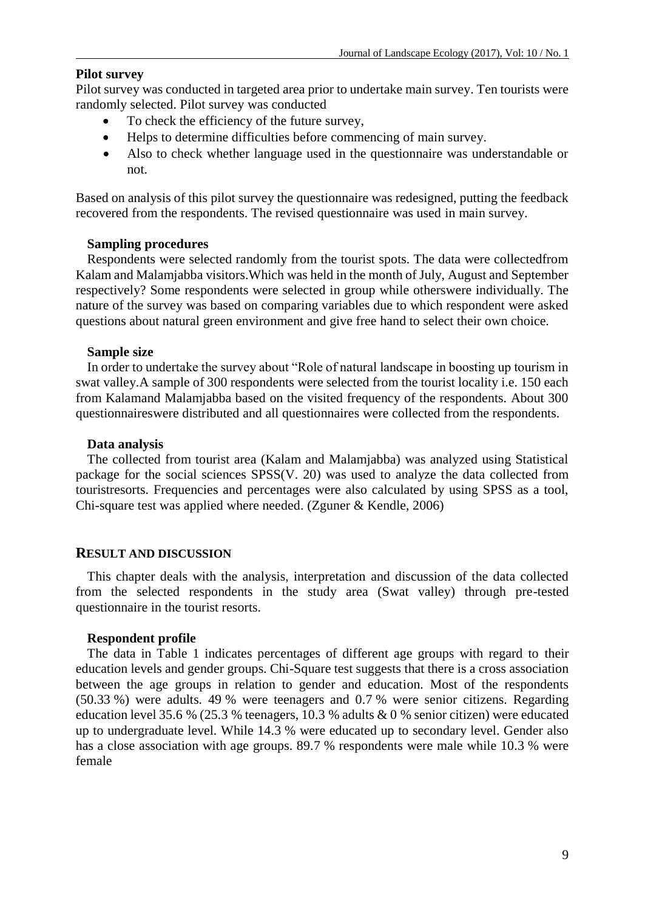## **Pilot survey**

Pilot survey was conducted in targeted area prior to undertake main survey. Ten tourists were randomly selected. Pilot survey was conducted

- To check the efficiency of the future survey,
- Helps to determine difficulties before commencing of main survey.
- Also to check whether language used in the questionnaire was understandable or not.

Based on analysis of this pilot survey the questionnaire was redesigned, putting the feedback recovered from the respondents. The revised questionnaire was used in main survey.

## **Sampling procedures**

Respondents were selected randomly from the tourist spots. The data were collectedfrom Kalam and Malamjabba visitors.Which was held in the month of July, August and September respectively? Some respondents were selected in group while otherswere individually. The nature of the survey was based on comparing variables due to which respondent were asked questions about natural green environment and give free hand to select their own choice.

## **Sample size**

In order to undertake the survey about "Role of natural landscape in boosting up tourism in swat valley.A sample of 300 respondents were selected from the tourist locality i.e. 150 each from Kalamand Malamjabba based on the visited frequency of the respondents. About 300 questionnaireswere distributed and all questionnaires were collected from the respondents.

## **Data analysis**

The collected from tourist area (Kalam and Malamjabba) was analyzed using Statistical package for the social sciences SPSS(V. 20) was used to analyze the data collected from touristresorts. Frequencies and percentages were also calculated by using SPSS as a tool, Chi-square test was applied where needed. (Zguner & Kendle, 2006)

## **RESULT AND DISCUSSION**

This chapter deals with the analysis, interpretation and discussion of the data collected from the selected respondents in the study area (Swat valley) through pre-tested questionnaire in the tourist resorts.

### **Respondent profile**

The data in Table 1 indicates percentages of different age groups with regard to their education levels and gender groups. Chi-Square test suggests that there is a cross association between the age groups in relation to gender and education. Most of the respondents (50.33 %) were adults. 49 % were teenagers and 0.7 % were senior citizens. Regarding education level 35.6 % (25.3 % teenagers, 10.3 % adults & 0 % senior citizen) were educated up to undergraduate level. While 14.3 % were educated up to secondary level. Gender also has a close association with age groups. 89.7 % respondents were male while 10.3 % were female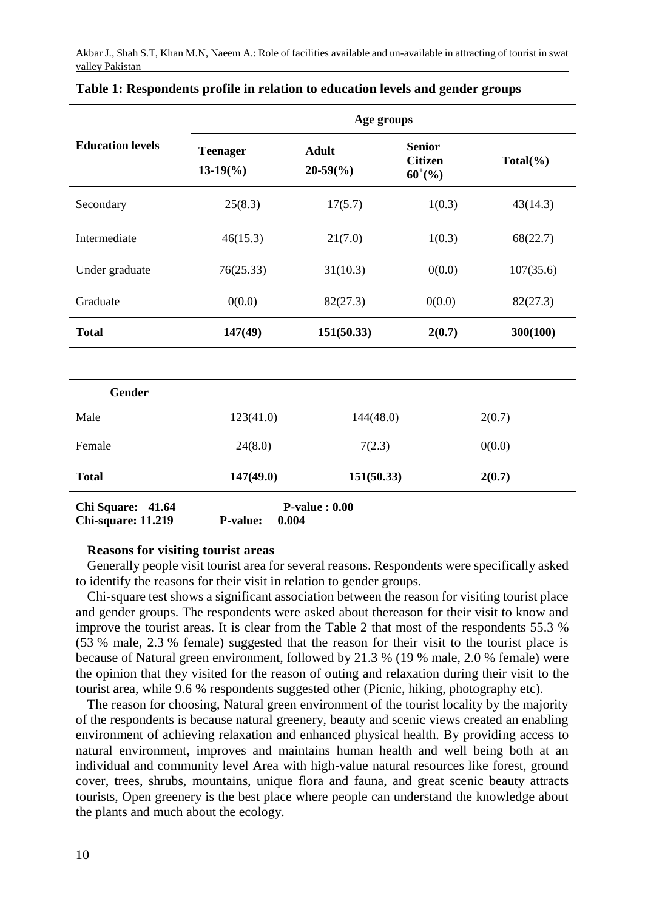|                             | Age groups                            |                              |                                                     |             |  |
|-----------------------------|---------------------------------------|------------------------------|-----------------------------------------------------|-------------|--|
| <b>Education levels</b>     | <b>Teenager</b><br>$13-19\frac{6}{6}$ | Adult<br>$20-59\binom{0}{0}$ | <b>Senior</b><br><b>Citizen</b><br>$60^{\circ}$ (%) | $Total(\%)$ |  |
| Secondary                   | 25(8.3)                               | 17(5.7)                      | 1(0.3)                                              | 43(14.3)    |  |
| Intermediate                | 46(15.3)                              | 21(7.0)                      | 1(0.3)                                              | 68(22.7)    |  |
| Under graduate              | 76(25.33)                             | 31(10.3)                     | 0(0.0)                                              | 107(35.6)   |  |
| Graduate                    | 0(0.0)                                | 82(27.3)                     | 0(0.0)                                              | 82(27.3)    |  |
| <b>Total</b>                | 147(49)                               | 151(50.33)                   | 2(0.7)                                              | 300(100)    |  |
| Gender                      |                                       |                              |                                                     |             |  |
| Male                        | 123(41.0)                             | 144(48.0)                    |                                                     | 2(0.7)      |  |
| Female                      | 24(8.0)                               | 7(2.3)                       |                                                     | 0(0.0)      |  |
| <b>Total</b>                | 147(49.0)                             | 151(50.33)                   |                                                     | 2(0.7)      |  |
| <b>Chi Square:</b><br>41.64 |                                       | $P-value: 0.00$              |                                                     |             |  |

## **Table 1: Respondents profile in relation to education levels and gender groups**

**Chi-square: 11.219 P-value: 0.004**

### **Reasons for visiting tourist areas**

Generally people visit tourist area for several reasons. Respondents were specifically asked to identify the reasons for their visit in relation to gender groups.

Chi-square test shows a significant association between the reason for visiting tourist place and gender groups. The respondents were asked about thereason for their visit to know and improve the tourist areas. It is clear from the Table 2 that most of the respondents 55.3 % (53 % male, 2.3 % female) suggested that the reason for their visit to the tourist place is because of Natural green environment, followed by 21.3 % (19 % male, 2.0 % female) were the opinion that they visited for the reason of outing and relaxation during their visit to the tourist area, while 9.6 % respondents suggested other (Picnic, hiking, photography etc).

The reason for choosing, Natural green environment of the tourist locality by the majority of the respondents is because natural greenery, beauty and scenic views created an enabling environment of achieving relaxation and enhanced physical health. By providing access to natural environment, improves and maintains human health and well being both at an individual and community level Area with high-value natural resources like forest, ground cover, trees, shrubs, mountains, unique flora and fauna, and great scenic beauty attracts tourists, Open greenery is the best place where people can understand the knowledge about the plants and much about the ecology.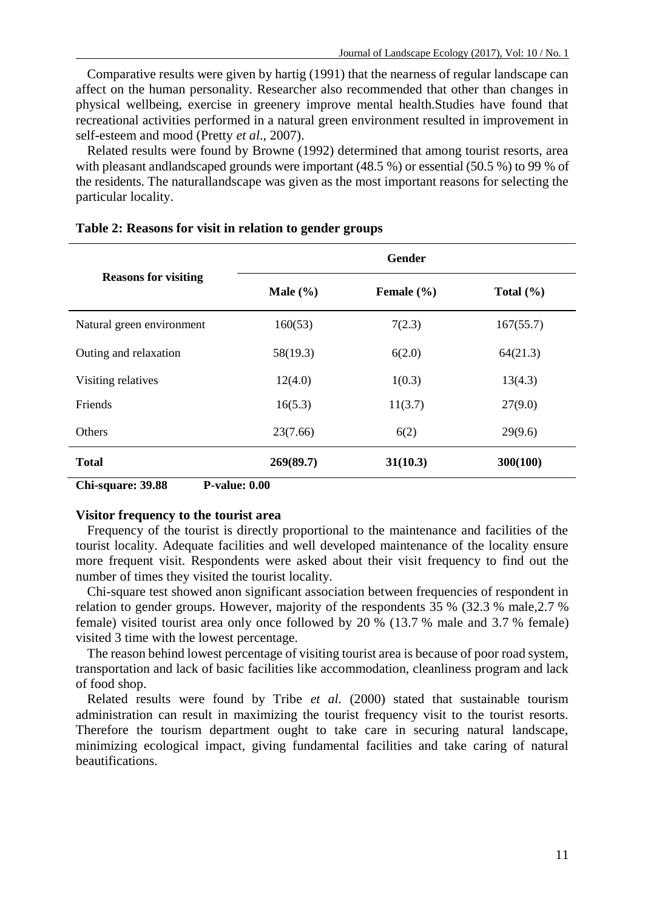Comparative results were given by hartig (1991) that the nearness of regular landscape can affect on the human personality. Researcher also recommended that other than changes in physical wellbeing, exercise in greenery improve mental health.Studies have found that recreational activities performed in a natural green environment resulted in improvement in self-esteem and mood (Pretty *et al*., 2007).

Related results were found by Browne (1992) determined that among tourist resorts, area with pleasant andlandscaped grounds were important (48.5 %) or essential (50.5 %) to 99 % of the residents. The naturallandscape was given as the most important reasons for selecting the particular locality.

|                             | Gender       |                |               |  |  |
|-----------------------------|--------------|----------------|---------------|--|--|
| <b>Reasons for visiting</b> | Male $(\% )$ | Female $(\% )$ | Total $(\% )$ |  |  |
| Natural green environment   | 160(53)      | 7(2.3)         | 167(55.7)     |  |  |
| Outing and relaxation       | 58(19.3)     | 6(2.0)         | 64(21.3)      |  |  |
| Visiting relatives          | 12(4.0)      | 1(0.3)         | 13(4.3)       |  |  |
| Friends                     | 16(5.3)      | 11(3.7)        | 27(9.0)       |  |  |
| Others                      | 23(7.66)     | 6(2)           | 29(9.6)       |  |  |
| <b>Total</b>                | 269(89.7)    | 31(10.3)       | 300(100)      |  |  |

#### **Table 2: Reasons for visit in relation to gender groups**

**Chi-square: 39.88 P-value: 0.00**

#### **Visitor frequency to the tourist area**

Frequency of the tourist is directly proportional to the maintenance and facilities of the tourist locality. Adequate facilities and well developed maintenance of the locality ensure more frequent visit. Respondents were asked about their visit frequency to find out the number of times they visited the tourist locality.

Chi-square test showed anon significant association between frequencies of respondent in relation to gender groups. However, majority of the respondents 35 % (32.3 % male,2.7 % female) visited tourist area only once followed by 20 % (13.7 % male and 3.7 % female) visited 3 time with the lowest percentage.

The reason behind lowest percentage of visiting tourist area is because of poor road system, transportation and lack of basic facilities like accommodation, cleanliness program and lack of food shop.

Related results were found by Tribe *et al.* (2000) stated that sustainable tourism administration can result in maximizing the tourist frequency visit to the tourist resorts. Therefore the tourism department ought to take care in securing natural landscape, minimizing ecological impact, giving fundamental facilities and take caring of natural beautifications.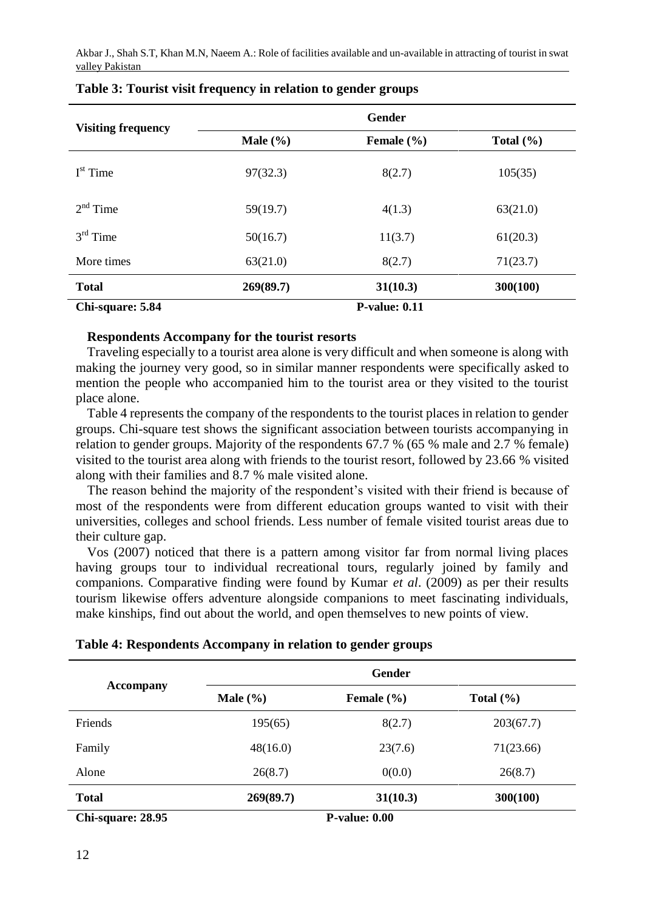| <b>Visiting frequency</b> | Gender       |                      |               |  |  |
|---------------------------|--------------|----------------------|---------------|--|--|
|                           | Male $(\% )$ | Female $(\% )$       | Total $(\% )$ |  |  |
| $Ist$ Time                | 97(32.3)     | 8(2.7)               | 105(35)       |  |  |
| $2nd$ Time                | 59(19.7)     | 4(1.3)               | 63(21.0)      |  |  |
| $3rd$ Time                | 50(16.7)     | 11(3.7)              | 61(20.3)      |  |  |
| More times                | 63(21.0)     | 8(2.7)               | 71(23.7)      |  |  |
| <b>Total</b>              | 269(89.7)    | 31(10.3)             | 300(100)      |  |  |
| Chi-square: 5.84          |              | <b>P-value: 0.11</b> |               |  |  |

## **Table 3: Tourist visit frequency in relation to gender groups**

### **Respondents Accompany for the tourist resorts**

Traveling especially to a tourist area alone is very difficult and when someone is along with making the journey very good, so in similar manner respondents were specifically asked to mention the people who accompanied him to the tourist area or they visited to the tourist place alone.

Table 4 represents the company of the respondents to the tourist places in relation to gender groups. Chi-square test shows the significant association between tourists accompanying in relation to gender groups. Majority of the respondents 67.7 % (65 % male and 2.7 % female) visited to the tourist area along with friends to the tourist resort, followed by 23.66 % visited along with their families and 8.7 % male visited alone.

The reason behind the majority of the respondent's visited with their friend is because of most of the respondents were from different education groups wanted to visit with their universities, colleges and school friends. Less number of female visited tourist areas due to their culture gap.

Vos (2007) noticed that there is a pattern among visitor far from normal living places having groups tour to individual recreational tours, regularly joined by family and companions. Comparative finding were found by Kumar *et al*. (2009) as per their results tourism likewise offers adventure alongside companions to meet fascinating individuals, make kinships, find out about the world, and open themselves to new points of view.

|  | Table 4: Respondents Accompany in relation to gender groups |  |  |  |  |  |  |
|--|-------------------------------------------------------------|--|--|--|--|--|--|
|--|-------------------------------------------------------------|--|--|--|--|--|--|

| <b>Accompany</b>  | Gender       |                      |               |  |  |
|-------------------|--------------|----------------------|---------------|--|--|
|                   | Male $(\% )$ | Female $(\% )$       | Total $(\% )$ |  |  |
| Friends           | 195(65)      | 8(2.7)               | 203(67.7)     |  |  |
| Family            | 48(16.0)     | 23(7.6)              | 71(23.66)     |  |  |
| Alone             | 26(8.7)      | 0(0.0)               | 26(8.7)       |  |  |
| <b>Total</b>      | 269(89.7)    | 31(10.3)             | 300(100)      |  |  |
| Chi-square: 28.95 |              | <b>P-value: 0.00</b> |               |  |  |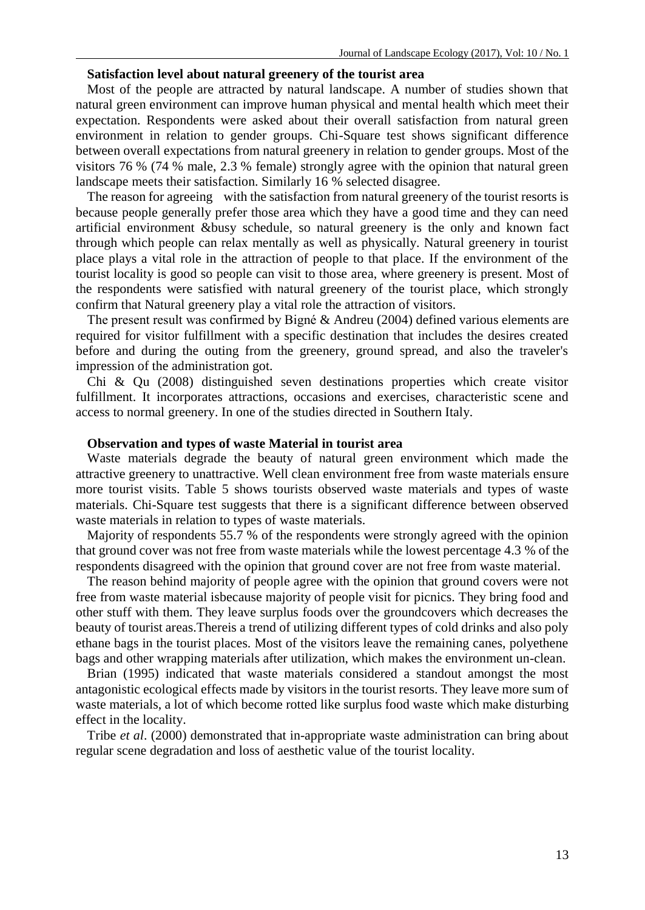#### **Satisfaction level about natural greenery of the tourist area**

Most of the people are attracted by natural landscape. A number of studies shown that natural green environment can improve human physical and mental health which meet their expectation. Respondents were asked about their overall satisfaction from natural green environment in relation to gender groups. Chi-Square test shows significant difference between overall expectations from natural greenery in relation to gender groups. Most of the visitors 76 % (74 % male, 2.3 % female) strongly agree with the opinion that natural green landscape meets their satisfaction. Similarly 16 % selected disagree.

The reason for agreeing with the satisfaction from natural greenery of the tourist resorts is because people generally prefer those area which they have a good time and they can need artificial environment &busy schedule, so natural greenery is the only and known fact through which people can relax mentally as well as physically. Natural greenery in tourist place plays a vital role in the attraction of people to that place. If the environment of the tourist locality is good so people can visit to those area, where greenery is present. Most of the respondents were satisfied with natural greenery of the tourist place, which strongly confirm that Natural greenery play a vital role the attraction of visitors.

The present result was confirmed by Bigné & Andreu (2004) defined various elements are required for visitor fulfillment with a specific destination that includes the desires created before and during the outing from the greenery, ground spread, and also the traveler's impression of the administration got.

Chi & Qu (2008) distinguished seven destinations properties which create visitor fulfillment. It incorporates attractions, occasions and exercises, characteristic scene and access to normal greenery. In one of the studies directed in Southern Italy.

#### **Observation and types of waste Material in tourist area**

Waste materials degrade the beauty of natural green environment which made the attractive greenery to unattractive. Well clean environment free from waste materials ensure more tourist visits. Table 5 shows tourists observed waste materials and types of waste materials. Chi-Square test suggests that there is a significant difference between observed waste materials in relation to types of waste materials.

Majority of respondents 55.7 % of the respondents were strongly agreed with the opinion that ground cover was not free from waste materials while the lowest percentage 4.3 % of the respondents disagreed with the opinion that ground cover are not free from waste material.

The reason behind majority of people agree with the opinion that ground covers were not free from waste material isbecause majority of people visit for picnics. They bring food and other stuff with them. They leave surplus foods over the groundcovers which decreases the beauty of tourist areas.Thereis a trend of utilizing different types of cold drinks and also poly ethane bags in the tourist places. Most of the visitors leave the remaining canes, polyethene bags and other wrapping materials after utilization, which makes the environment un-clean.

Brian (1995) indicated that waste materials considered a standout amongst the most antagonistic ecological effects made by visitors in the tourist resorts. They leave more sum of waste materials, a lot of which become rotted like surplus food waste which make disturbing effect in the locality.

Tribe *et al*. (2000) demonstrated that in-appropriate waste administration can bring about regular scene degradation and loss of aesthetic value of the tourist locality.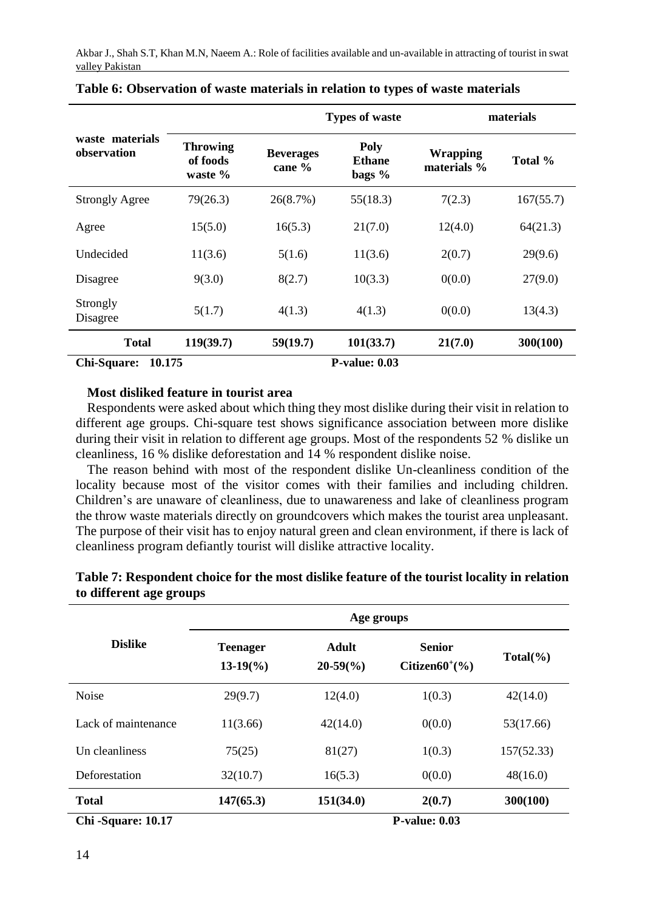|                                |                                        |                            | <b>Types of waste</b>             |                                | materials |  |  |
|--------------------------------|----------------------------------------|----------------------------|-----------------------------------|--------------------------------|-----------|--|--|
| waste materials<br>observation | <b>Throwing</b><br>of foods<br>waste % | <b>Beverages</b><br>cane % | Poly<br><b>Ethane</b><br>bags $%$ | <b>Wrapping</b><br>materials % | Total %   |  |  |
| <b>Strongly Agree</b>          | 79(26.3)                               | 26(8.7%)                   | 55(18.3)                          | 7(2.3)                         | 167(55.7) |  |  |
| Agree                          | 15(5.0)                                | 16(5.3)                    | 21(7.0)                           | 12(4.0)                        | 64(21.3)  |  |  |
| Undecided                      | 11(3.6)                                | 5(1.6)                     | 11(3.6)                           | 2(0.7)                         | 29(9.6)   |  |  |
| Disagree                       | 9(3.0)                                 | 8(2.7)                     | 10(3.3)                           | 0(0.0)                         | 27(9.0)   |  |  |
| Strongly<br>Disagree           | 5(1.7)                                 | 4(1.3)                     | 4(1.3)                            | 0(0.0)                         | 13(4.3)   |  |  |
| <b>Total</b>                   | 119(39.7)                              | 59(19.7)                   | 101(33.7)                         | 21(7.0)                        | 300(100)  |  |  |
| Chi-Square:<br>10.175          |                                        |                            | <b>P-value: 0.03</b>              |                                |           |  |  |

|  | Table 6: Observation of waste materials in relation to types of waste materials |  |  |  |  |  |  |  |
|--|---------------------------------------------------------------------------------|--|--|--|--|--|--|--|
|--|---------------------------------------------------------------------------------|--|--|--|--|--|--|--|

## **Most disliked feature in tourist area**

Respondents were asked about which thing they most dislike during their visit in relation to different age groups. Chi-square test shows significance association between more dislike during their visit in relation to different age groups. Most of the respondents 52 % dislike un cleanliness, 16 % dislike deforestation and 14 % respondent dislike noise.

The reason behind with most of the respondent dislike Un-cleanliness condition of the locality because most of the visitor comes with their families and including children. Children's are unaware of cleanliness, due to unawareness and lake of cleanliness program the throw waste materials directly on groundcovers which makes the tourist area unpleasant. The purpose of their visit has to enjoy natural green and clean environment, if there is lack of cleanliness program defiantly tourist will dislike attractive locality.

|                     | Age groups                            |                             |                                           |             |  |
|---------------------|---------------------------------------|-----------------------------|-------------------------------------------|-------------|--|
| <b>Dislike</b>      | <b>Teenager</b><br>$13-19\frac{6}{6}$ | Adult<br>$20-59\frac{6}{6}$ | <b>Senior</b><br>Citizen $60^{\circ}$ (%) | $Total(\%)$ |  |
| <b>Noise</b>        | 29(9.7)                               | 12(4.0)                     | 1(0.3)                                    | 42(14.0)    |  |
| Lack of maintenance | 11(3.66)                              | 42(14.0)                    | 0(0.0)                                    | 53(17.66)   |  |
| Un cleanliness      | 75(25)                                | 81(27)                      | 1(0.3)                                    | 157(52.33)  |  |
| Deforestation       | 32(10.7)                              | 16(5.3)                     | 0(0.0)                                    | 48(16.0)    |  |
| <b>Total</b>        | 147(65.3)                             | 151(34.0)                   | 2(0.7)                                    | 300(100)    |  |
| Chi-Square: 10.17   |                                       |                             | <b>P-value: 0.03</b>                      |             |  |

| Table 7: Respondent choice for the most dislike feature of the tourist locality in relation |  |
|---------------------------------------------------------------------------------------------|--|
| to different age groups                                                                     |  |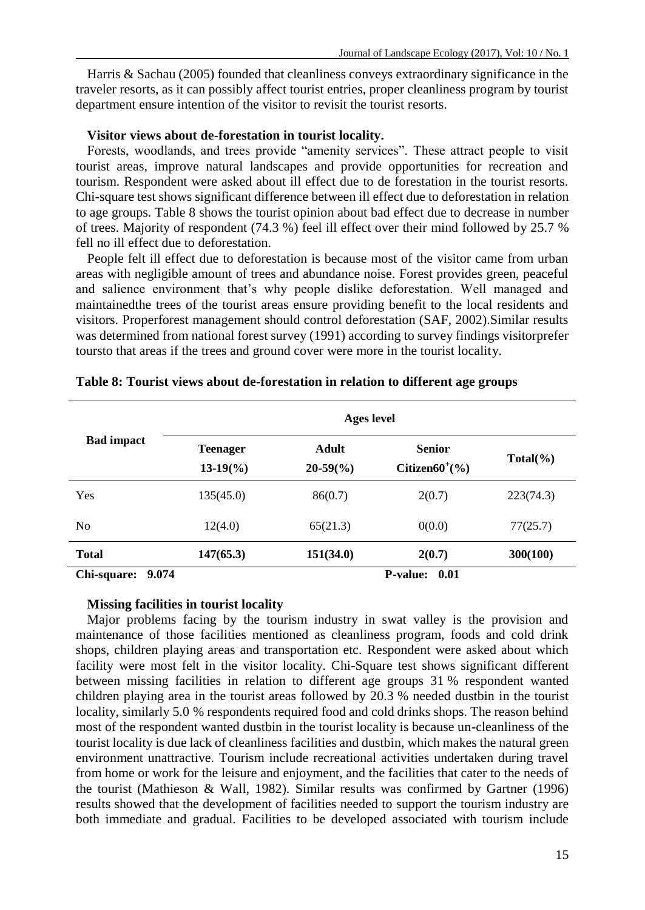Harris & Sachau (2005) founded that cleanliness conveys extraordinary significance in the traveler resorts, as it can possibly affect tourist entries, proper cleanliness program by tourist department ensure intention of the visitor to revisit the tourist resorts.

### **Visitor views about de-forestation in tourist locality.**

Forests, woodlands, and trees provide "amenity services". These attract people to visit tourist areas, improve natural landscapes and provide opportunities for recreation and tourism. Respondent were asked about ill effect due to de forestation in the tourist resorts. Chi-square test shows significant difference between ill effect due to deforestation in relation to age groups. Table 8 shows the tourist opinion about bad effect due to decrease in number of trees. Majority of respondent (74.3 %) feel ill effect over their mind followed by 25.7 % fell no ill effect due to deforestation.

People felt ill effect due to deforestation is because most of the visitor came from urban areas with negligible amount of trees and abundance noise. Forest provides green, peaceful and salience environment that's why people dislike deforestation. Well managed and maintainedthe trees of the tourist areas ensure providing benefit to the local residents and visitors. Properforest management should control deforestation (SAF, 2002).Similar results was determined from national forest survey (1991) according to survey findings visitorprefer toursto that areas if the trees and ground cover were more in the tourist locality.

|                      | Ages level                            |                             |                                           |             |  |  |
|----------------------|---------------------------------------|-----------------------------|-------------------------------------------|-------------|--|--|
| <b>Bad impact</b>    | <b>Teenager</b><br>$13-19\frac{6}{6}$ | Adult<br>$20-59\frac{6}{6}$ | <b>Senior</b><br>Citizen $60^{\circ}$ (%) | $Total(\%)$ |  |  |
| Yes                  | 135(45.0)                             | 86(0.7)                     | 2(0.7)                                    | 223(74.3)   |  |  |
| N <sub>0</sub>       | 12(4.0)                               | 65(21.3)                    | 0(0.0)                                    | 77(25.7)    |  |  |
| <b>Total</b>         | 147(65.3)                             | 151(34.0)                   | 2(0.7)                                    | 300(100)    |  |  |
| 9.074<br>Chi-square: |                                       |                             | <b>P-value:</b><br>- 0.01                 |             |  |  |

#### **Table 8: Tourist views about de-forestation in relation to different age groups**

### **Missing facilities in tourist locality**

Major problems facing by the tourism industry in swat valley is the provision and maintenance of those facilities mentioned as cleanliness program, foods and cold drink shops, children playing areas and transportation etc. Respondent were asked about which facility were most felt in the visitor locality. Chi-Square test shows significant different between missing facilities in relation to different age groups 31 % respondent wanted children playing area in the tourist areas followed by 20.3 % needed dustbin in the tourist locality, similarly 5.0 % respondents required food and cold drinks shops. The reason behind most of the respondent wanted dustbin in the tourist locality is because un-cleanliness of the tourist locality is due lack of cleanliness facilities and dustbin, which makes the natural green environment unattractive. Tourism include recreational activities undertaken during travel from home or work for the leisure and enjoyment, and the facilities that cater to the needs of the tourist (Mathieson & Wall, 1982). Similar results was confirmed by Gartner (1996) results showed that the development of facilities needed to support the tourism industry are both immediate and gradual. Facilities to be developed associated with tourism include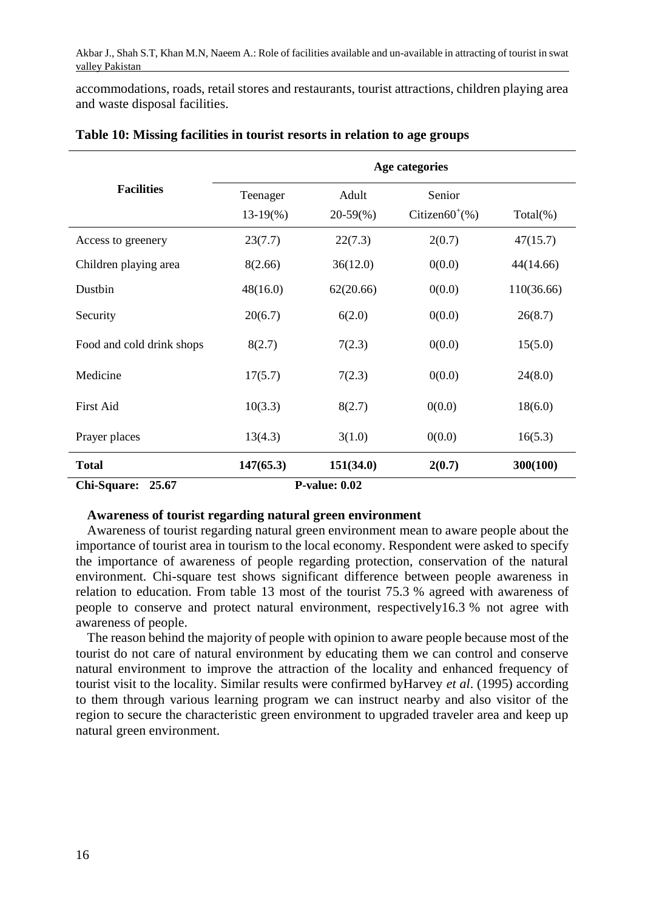accommodations, roads, retail stores and restaurants, tourist attractions, children playing area and waste disposal facilities.

|                           | Age categories        |                      |                                    |             |  |  |  |
|---------------------------|-----------------------|----------------------|------------------------------------|-------------|--|--|--|
| <b>Facilities</b>         | Teenager<br>$13-19\%$ | Adult<br>$20-59\%$   | Senior<br>Citizen $60^{\circ}$ (%) | $Total(\%)$ |  |  |  |
| Access to greenery        | 23(7.7)               | 22(7.3)              | 2(0.7)                             | 47(15.7)    |  |  |  |
| Children playing area     | 8(2.66)               | 36(12.0)             | 0(0.0)                             | 44(14.66)   |  |  |  |
| Dustbin                   | 48(16.0)              | 62(20.66)            | 0(0.0)                             | 110(36.66)  |  |  |  |
| Security                  | 20(6.7)               | 6(2.0)               | 0(0.0)                             | 26(8.7)     |  |  |  |
| Food and cold drink shops | 8(2.7)                | 7(2.3)               | 0(0.0)                             | 15(5.0)     |  |  |  |
| Medicine                  | 17(5.7)               | 7(2.3)               | 0(0.0)                             | 24(8.0)     |  |  |  |
| First Aid                 | 10(3.3)               | 8(2.7)               | 0(0.0)                             | 18(6.0)     |  |  |  |
| Prayer places             | 13(4.3)               | 3(1.0)               | 0(0.0)                             | 16(5.3)     |  |  |  |
| <b>Total</b>              | 147(65.3)             | 151(34.0)            | 2(0.7)                             | 300(100)    |  |  |  |
| Chi-Square:<br>25.67      |                       | <b>P-value: 0.02</b> |                                    |             |  |  |  |

### **Table 10: Missing facilities in tourist resorts in relation to age groups**

#### **Awareness of tourist regarding natural green environment**

Awareness of tourist regarding natural green environment mean to aware people about the importance of tourist area in tourism to the local economy. Respondent were asked to specify the importance of awareness of people regarding protection, conservation of the natural environment. Chi-square test shows significant difference between people awareness in relation to education. From table 13 most of the tourist 75.3 % agreed with awareness of people to conserve and protect natural environment, respectively16.3 % not agree with awareness of people.

The reason behind the majority of people with opinion to aware people because most of the tourist do not care of natural environment by educating them we can control and conserve natural environment to improve the attraction of the locality and enhanced frequency of tourist visit to the locality. Similar results were confirmed byHarvey *et al*. (1995) according to them through various learning program we can instruct nearby and also visitor of the region to secure the characteristic green environment to upgraded traveler area and keep up natural green environment.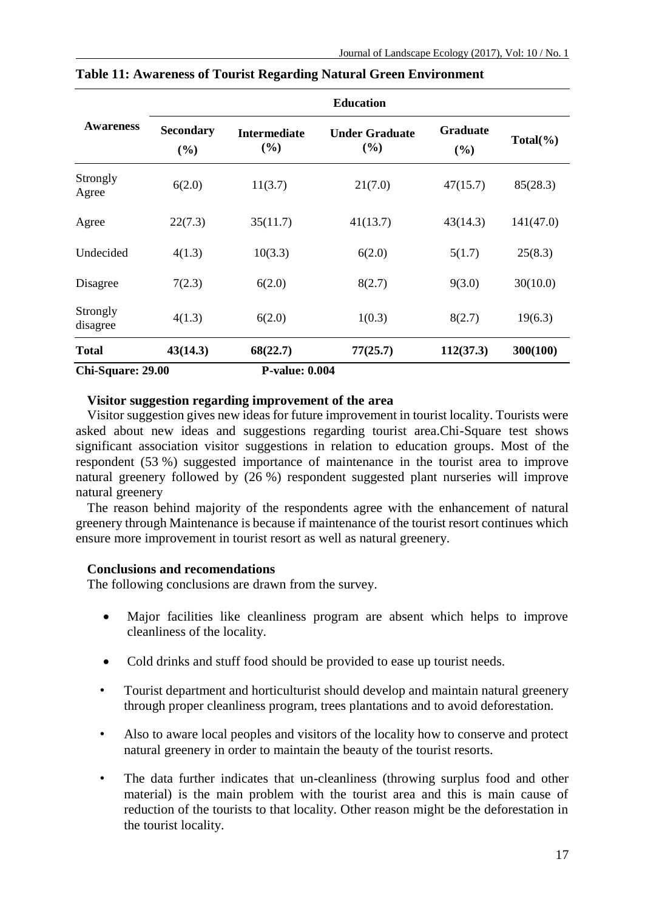|                      | <b>Education</b> |                            |                                 |                 |             |  |  |
|----------------------|------------------|----------------------------|---------------------------------|-----------------|-------------|--|--|
| <b>Awareness</b>     | Secondary<br>(%) | <b>Intermediate</b><br>(%) | <b>Under Graduate</b><br>$($ %) | Graduate<br>(%) | $Total(\%)$ |  |  |
| Strongly<br>Agree    | 6(2.0)           | 11(3.7)                    | 21(7.0)                         | 47(15.7)        | 85(28.3)    |  |  |
| Agree                | 22(7.3)          | 35(11.7)                   | 41(13.7)                        | 43(14.3)        | 141(47.0)   |  |  |
| Undecided            | 4(1.3)           | 10(3.3)                    | 6(2.0)                          | 5(1.7)          | 25(8.3)     |  |  |
| Disagree             | 7(2.3)           | 6(2.0)                     | 8(2.7)                          | 9(3.0)          | 30(10.0)    |  |  |
| Strongly<br>disagree | 4(1.3)           | 6(2.0)                     | 1(0.3)                          | 8(2.7)          | 19(6.3)     |  |  |
| <b>Total</b>         | 43(14.3)         | 68(22.7)                   | 77(25.7)                        | 112(37.3)       | 300(100)    |  |  |
| Chi-Square: 29.00    |                  | <b>P-value: 0.004</b>      |                                 |                 |             |  |  |

**Table 11: Awareness of Tourist Regarding Natural Green Environment**

## **Visitor suggestion regarding improvement of the area**

Visitor suggestion gives new ideas for future improvement in tourist locality. Tourists were asked about new ideas and suggestions regarding tourist area.Chi-Square test shows significant association visitor suggestions in relation to education groups. Most of the respondent (53 %) suggested importance of maintenance in the tourist area to improve natural greenery followed by (26 %) respondent suggested plant nurseries will improve natural greenery

The reason behind majority of the respondents agree with the enhancement of natural greenery through Maintenance is because if maintenance of the tourist resort continues which ensure more improvement in tourist resort as well as natural greenery.

## **Conclusions and recomendations**

The following conclusions are drawn from the survey.

- Major facilities like cleanliness program are absent which helps to improve cleanliness of the locality.
- Cold drinks and stuff food should be provided to ease up tourist needs.
- Tourist department and horticulturist should develop and maintain natural greenery through proper cleanliness program, trees plantations and to avoid deforestation.
- Also to aware local peoples and visitors of the locality how to conserve and protect natural greenery in order to maintain the beauty of the tourist resorts.
- The data further indicates that un-cleanliness (throwing surplus food and other material) is the main problem with the tourist area and this is main cause of reduction of the tourists to that locality. Other reason might be the deforestation in the tourist locality.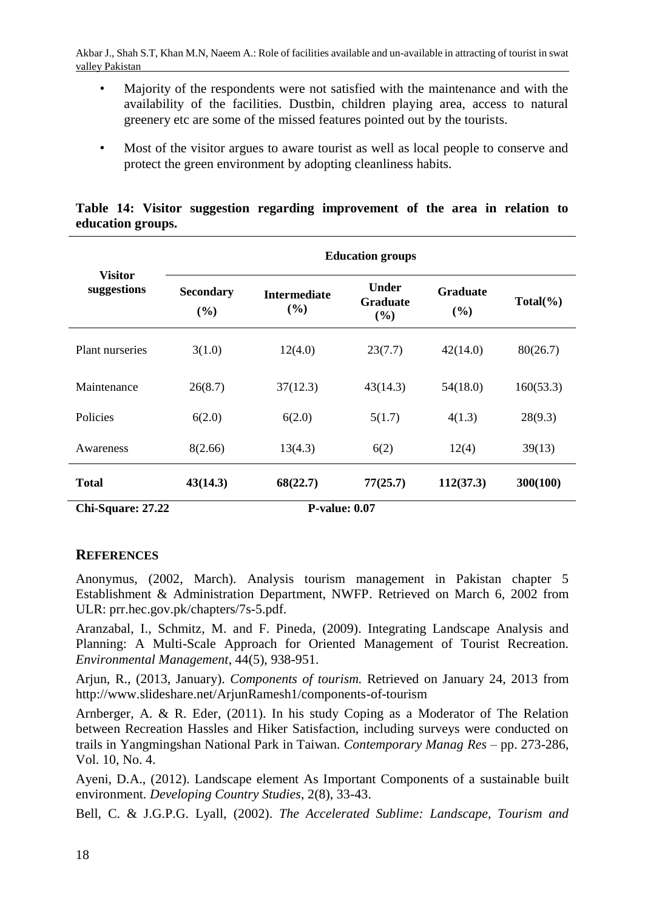- Majority of the respondents were not satisfied with the maintenance and with the availability of the facilities. Dustbin, children playing area, access to natural greenery etc are some of the missed features pointed out by the tourists.
- Most of the visitor argues to aware tourist as well as local people to conserve and protect the green environment by adopting cleanliness habits.

|                               | <b>Education groups</b> |                            |                                 |                        |             |  |  |  |
|-------------------------------|-------------------------|----------------------------|---------------------------------|------------------------|-------------|--|--|--|
| <b>Visitor</b><br>suggestions | <b>Secondary</b><br>(%) | <b>Intermediate</b><br>(%) | Under<br><b>Graduate</b><br>(%) | <b>Graduate</b><br>(%) | $Total(\%)$ |  |  |  |
| Plant nurseries               | 3(1.0)                  | 12(4.0)                    | 23(7.7)                         | 42(14.0)               | 80(26.7)    |  |  |  |
| Maintenance                   | 26(8.7)                 | 37(12.3)                   | 43(14.3)                        | 54(18.0)               | 160(53.3)   |  |  |  |
| Policies                      | 6(2.0)                  | 6(2.0)                     | 5(1.7)                          | 4(1.3)                 | 28(9.3)     |  |  |  |
| Awareness                     | 8(2.66)                 | 13(4.3)                    | 6(2)                            | 12(4)                  | 39(13)      |  |  |  |
| <b>Total</b>                  | 43(14.3)                | 68(22.7)                   | 77(25.7)                        | 112(37.3)              | 300(100)    |  |  |  |

|  |                   |  | Table 14: Visitor suggestion regarding improvement of the area in relation to |  |  |  |
|--|-------------------|--|-------------------------------------------------------------------------------|--|--|--|
|  | education groups. |  |                                                                               |  |  |  |

**Chi-Square: 27.22 P-value: 0.07**

# **REFERENCES**

Anonymus, (2002, March). Analysis tourism management in Pakistan chapter 5 Establishment & Administration Department, NWFP. Retrieved on March 6, 2002 from ULR: prr.hec.gov.pk/chapters/7s-5.pdf.

Aranzabal, I., Schmitz, M. and F. Pineda, (2009). Integrating Landscape Analysis and Planning: A Multi-Scale Approach for Oriented Management of Tourist Recreation. *Environmental Management*, 44(5), 938-951.

Arjun, R., (2013, January). *Components of tourism.* Retrieved on January 24, 2013 from http://www.slideshare.net/ArjunRamesh1/components-of-tourism

Arnberger, A. & R. Eder, (2011). In his study Coping as a Moderator of The Relation between Recreation Hassles and Hiker Satisfaction, including surveys were conducted on trails in Yangmingshan National Park in Taiwan. *Contemporary Manag Res* – pp. 273-286, Vol. 10, No. 4.

Ayeni, D.A., (2012). Landscape element As Important Components of a sustainable built environment. *Developing Country Studies*, 2(8), 33-43.

Bell, C. & J.G.P.G. Lyall, (2002). *The Accelerated Sublime: Landscape, Tourism and*